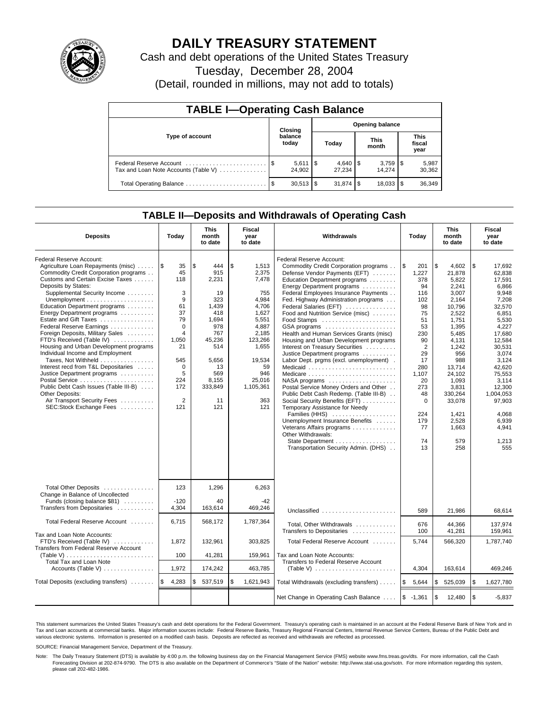

## **DAILY TREASURY STATEMENT**

Cash and debt operations of the United States Treasury

Tuesday, December 28, 2004

(Detail, rounded in millions, may not add to totals)

| <b>TABLE I-Operating Cash Balance</b>                           |      |                                   |  |                        |  |                      |  |                               |  |
|-----------------------------------------------------------------|------|-----------------------------------|--|------------------------|--|----------------------|--|-------------------------------|--|
|                                                                 |      | <b>Opening balance</b><br>Closing |  |                        |  |                      |  |                               |  |
| Type of account                                                 |      | balance<br>today                  |  | Today                  |  | <b>This</b><br>month |  | <b>This</b><br>fiscal<br>year |  |
| Federal Reserve Account<br>Tax and Loan Note Accounts (Table V) |      | $5,611$ $\sqrt{5}$<br>24.902      |  | $4,640$ \ \$<br>27.234 |  | 14.274               |  | 5,987<br>30,362               |  |
| Total Operating Balance                                         | - \$ | $30,513$ \\$                      |  | $31,874$ \$            |  | 18,033               |  | 36,349                        |  |

### **TABLE II—Deposits and Withdrawals of Operating Cash**

| <b>Deposits</b>                                          | Today             | <b>This</b><br>month<br>to date | <b>Fiscal</b><br>year<br>to date | Withdrawals                                                                  | Today             | <b>This</b><br>month<br>to date | <b>Fiscal</b><br>year<br>to date |
|----------------------------------------------------------|-------------------|---------------------------------|----------------------------------|------------------------------------------------------------------------------|-------------------|---------------------------------|----------------------------------|
| Federal Reserve Account:                                 |                   |                                 |                                  | Federal Reserve Account:                                                     |                   |                                 |                                  |
| Agriculture Loan Repayments (misc)                       | ۱\$<br>35         | \$<br>444                       | \$<br>1,513                      | Commodity Credit Corporation programs                                        | l\$<br>201        | \$<br>4,602                     | \$<br>17,692                     |
| Commodity Credit Corporation programs                    | 45                | 915                             | 2,375                            | Defense Vendor Payments (EFT)                                                | 1,227             | 21,878                          | 62,838                           |
| Customs and Certain Excise Taxes                         | 118               | 2,231                           | 7,478                            | Education Department programs                                                | 378               | 5,822                           | 17,591                           |
| Deposits by States:                                      | 3                 | 19                              | 755                              | Energy Department programs                                                   | 94                | 2,241                           | 6,866<br>9.948                   |
| Supplemental Security Income                             | 9                 | 323                             | 4.984                            | Federal Employees Insurance Payments<br>Fed. Highway Administration programs | 116<br>102        | 3,007<br>2.164                  | 7.208                            |
| Education Department programs                            | 61                | 1.439                           | 4.706                            | Federal Salaries (EFT)                                                       | 98                | 10.796                          | 32.570                           |
| Energy Department programs                               | 37                | 418                             | 1,627                            | Food and Nutrition Service (misc)                                            | 75                | 2,522                           | 6,851                            |
| Estate and Gift Taxes                                    | 79                | 1,694                           | 5,551                            |                                                                              | 51                | 1,751                           | 5,530                            |
| Federal Reserve Earnings                                 | $\Omega$          | 978                             | 4,887                            | GSA programs                                                                 | 53                | 1.395                           | 4.227                            |
| Foreign Deposits, Military Sales                         | $\overline{4}$    | 767                             | 2.185                            | Health and Human Services Grants (misc)                                      | 230               | 5,485                           | 17,680                           |
| FTD's Received (Table IV)                                | 1,050             | 45,236                          | 123,266                          | Housing and Urban Development programs                                       | 90                | 4,131                           | 12,584                           |
| Housing and Urban Development programs                   | 21                | 514                             | 1,655                            | Interest on Treasury Securities                                              | 2                 | 1,242                           | 30,531                           |
| Individual Income and Employment                         |                   |                                 |                                  | Justice Department programs                                                  | 29                | 956                             | 3,074                            |
| Taxes, Not Withheld                                      | 545               | 5,656                           | 19,534                           | Labor Dept. prgms (excl. unemployment).                                      | 17                | 988                             | 3,124                            |
| Interest recd from T&L Depositaries                      | $\mathbf 0$       | 13                              | 59                               | Medicaid                                                                     | 280               | 13,714                          | 42.620                           |
| Justice Department programs                              | 5                 | 569                             | 946                              | Medicare                                                                     | 1.107             | 24.102                          | 75.553                           |
|                                                          | 224               | 8,155                           | 25.016                           | $NASA$ programs $\ldots \ldots \ldots \ldots \ldots$                         | 20                | 1.093                           | 3.114                            |
| Public Debt Cash Issues (Table III-B)                    | 172               | 333,849                         | 1,105,361                        | Postal Service Money Orders and Other                                        | 273               | 3,831                           | 12,300                           |
| Other Deposits:                                          |                   |                                 |                                  | Public Debt Cash Redemp. (Table III-B)                                       | 48                | 330,264                         | 1,004,053                        |
| Air Transport Security Fees                              | 2                 | 11                              | 363                              | Social Security Benefits (EFT)                                               | $\Omega$          | 33,078                          | 97,903                           |
| SEC:Stock Exchange Fees                                  | 121               | 121                             | 121                              | Temporary Assistance for Needy                                               |                   |                                 |                                  |
|                                                          |                   |                                 |                                  | Families (HHS)                                                               | 224               | 1,421                           | 4,068                            |
|                                                          |                   |                                 |                                  | Unemployment Insurance Benefits                                              | 179               | 2,528                           | 6,939                            |
|                                                          |                   |                                 |                                  | Veterans Affairs programs                                                    | 77                | 1,663                           | 4,941                            |
|                                                          |                   |                                 |                                  | Other Withdrawals:                                                           |                   |                                 |                                  |
|                                                          |                   |                                 |                                  | State Department                                                             | 74                | 579                             | 1.213                            |
|                                                          |                   |                                 |                                  | Transportation Security Admin. (DHS)                                         | 13                | 258                             | 555                              |
|                                                          |                   |                                 |                                  |                                                                              |                   |                                 |                                  |
| Total Other Deposits<br>Change in Balance of Uncollected | 123               | 1,296                           | 6,263                            |                                                                              |                   |                                 |                                  |
| Funds (closing balance \$81)                             | $-120$            | 40                              | $-42$                            |                                                                              |                   |                                 |                                  |
| Transfers from Depositaries                              | 4,304             | 163,614                         | 469.246                          |                                                                              |                   |                                 |                                  |
|                                                          |                   |                                 |                                  | Unclassified                                                                 | 589               | 21,986                          | 68,614                           |
| Total Federal Reserve Account                            | 6,715             | 568,172                         | 1,787,364                        | Total, Other Withdrawals<br>Transfers to Depositaries                        | 676<br>100        | 44,366<br>41,281                | 137,974<br>159,961               |
| Tax and Loan Note Accounts:                              |                   |                                 |                                  |                                                                              |                   |                                 |                                  |
| FTD's Received (Table IV)                                | 1,872             | 132,961                         | 303.825                          | Total Federal Reserve Account                                                | 5,744             | 566,320                         | 1,787,740                        |
| Transfers from Federal Reserve Account                   |                   |                                 |                                  |                                                                              |                   |                                 |                                  |
|                                                          | 100               | 41,281                          | 159,961                          | Tax and Loan Note Accounts:                                                  |                   |                                 |                                  |
| Total Tax and Loan Note                                  |                   |                                 |                                  | Transfers to Federal Reserve Account                                         |                   |                                 |                                  |
|                                                          | 1,972             | 174,242                         | 463,785                          |                                                                              | 4,304             | 163,614                         | 469,246                          |
| Total Deposits (excluding transfers)                     | <b>S</b><br>4,283 | \$<br>537,519                   | \$<br>1,621,943                  | Total Withdrawals (excluding transfers)                                      | <b>S</b><br>5,644 | \$<br>525,039                   | $\sqrt{3}$<br>1,627,780          |
|                                                          |                   |                                 |                                  | Net Change in Operating Cash Balance                                         | $$ -1,361$        | \$<br>12,480                    | l \$<br>$-5,837$                 |

This statement summarizes the United States Treasury's cash and debt operations for the Federal Government. Treasury's operating cash is maintained in an account at the Federal Reserve Bank of New York and in Tax and Loan accounts at commercial banks. Major information sources include: Federal Reserve Banks, Treasury Regional Financial Centers, Internal Revenue Service Centers, Bureau of the Public Debt and<br>various electronic s

SOURCE: Financial Management Service, Department of the Treasury.

Note: The Daily Treasury Statement (DTS) is available by 4:00 p.m. the following business day on the Financial Management Service (FMS) website www.fms.treas.gov/dts. For more information, call the Cash Forecasting Division at 202-874-9790. The DTS is also available on the Department of Commerce's "State of the Nation" website: http://www.stat-usa.gov/sotn. For more information regarding this system, please call 202-482-1986.